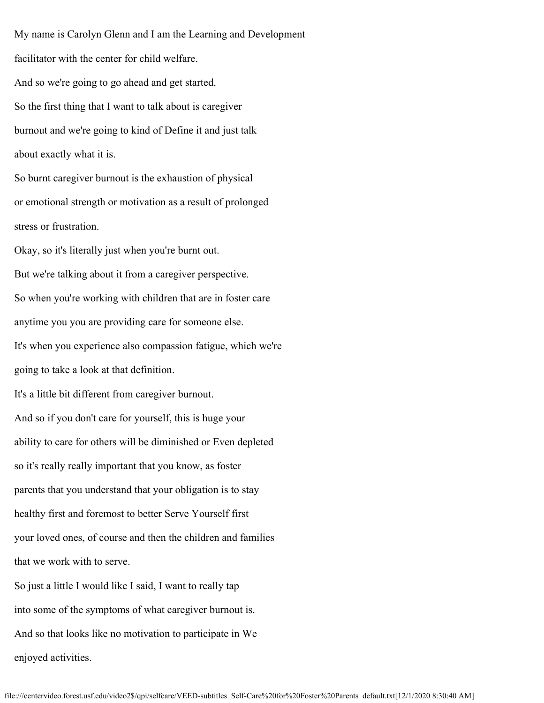My name is Carolyn Glenn and I am the Learning and Development facilitator with the center for child welfare. And so we're going to go ahead and get started. So the first thing that I want to talk about is caregiver burnout and we're going to kind of Define it and just talk about exactly what it is. So burnt caregiver burnout is the exhaustion of physical or emotional strength or motivation as a result of prolonged stress or frustration. Okay, so it's literally just when you're burnt out. But we're talking about it from a caregiver perspective. So when you're working with children that are in foster care anytime you you are providing care for someone else. It's when you experience also compassion fatigue, which we're going to take a look at that definition. It's a little bit different from caregiver burnout. And so if you don't care for yourself, this is huge your ability to care for others will be diminished or Even depleted so it's really really important that you know, as foster parents that you understand that your obligation is to stay healthy first and foremost to better Serve Yourself first your loved ones, of course and then the children and families that we work with to serve. So just a little I would like I said, I want to really tap into some of the symptoms of what caregiver burnout is. And so that looks like no motivation to participate in We

enjoyed activities.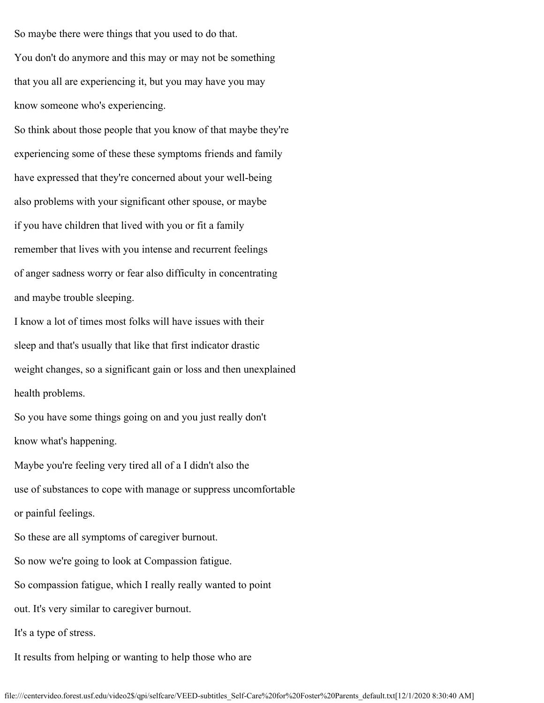So maybe there were things that you used to do that. You don't do anymore and this may or may not be something that you all are experiencing it, but you may have you may know someone who's experiencing.

So think about those people that you know of that maybe they're experiencing some of these these symptoms friends and family have expressed that they're concerned about your well-being also problems with your significant other spouse, or maybe if you have children that lived with you or fit a family remember that lives with you intense and recurrent feelings of anger sadness worry or fear also difficulty in concentrating and maybe trouble sleeping.

I know a lot of times most folks will have issues with their sleep and that's usually that like that first indicator drastic weight changes, so a significant gain or loss and then unexplained health problems.

So you have some things going on and you just really don't know what's happening.

Maybe you're feeling very tired all of a I didn't also the use of substances to cope with manage or suppress uncomfortable or painful feelings.

So these are all symptoms of caregiver burnout.

So now we're going to look at Compassion fatigue.

So compassion fatigue, which I really really wanted to point

out. It's very similar to caregiver burnout.

It's a type of stress.

It results from helping or wanting to help those who are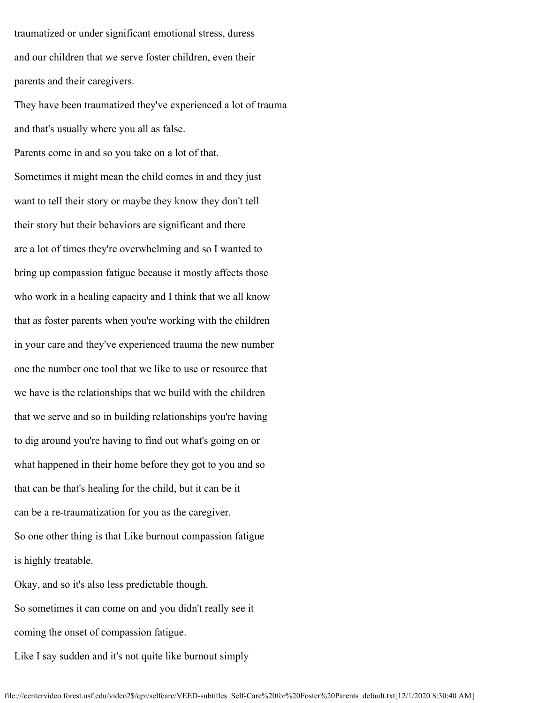traumatized or under significant emotional stress, duress and our children that we serve foster children, even their parents and their caregivers.

They have been traumatized they've experienced a lot of trauma and that's usually where you all as false.

Parents come in and so you take on a lot of that. Sometimes it might mean the child comes in and they just want to tell their story or maybe they know they don't tell their story but their behaviors are significant and there are a lot of times they're overwhelming and so I wanted to bring up compassion fatigue because it mostly affects those who work in a healing capacity and I think that we all know that as foster parents when you're working with the children in your care and they've experienced trauma the new number one the number one tool that we like to use or resource that we have is the relationships that we build with the children that we serve and so in building relationships you're having to dig around you're having to find out what's going on or what happened in their home before they got to you and so that can be that's healing for the child, but it can be it can be a re-traumatization for you as the caregiver. So one other thing is that Like burnout compassion fatigue is highly treatable.

Okay, and so it's also less predictable though. So sometimes it can come on and you didn't really see it coming the onset of compassion fatigue.

Like I say sudden and it's not quite like burnout simply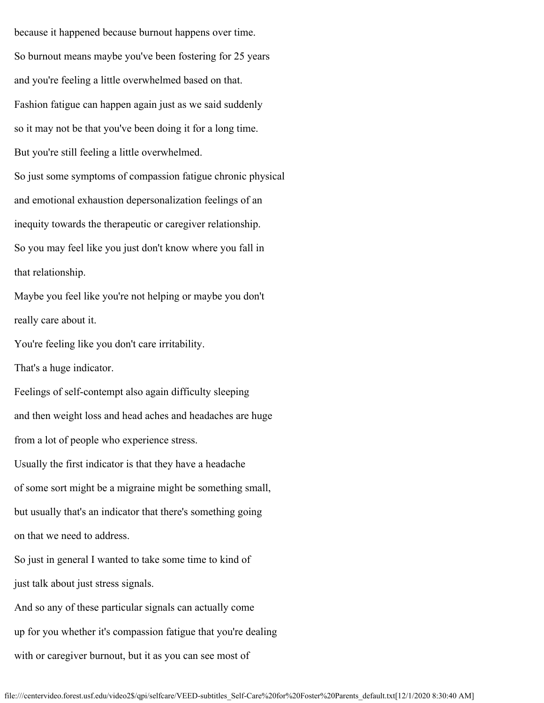because it happened because burnout happens over time. So burnout means maybe you've been fostering for 25 years and you're feeling a little overwhelmed based on that. Fashion fatigue can happen again just as we said suddenly so it may not be that you've been doing it for a long time. But you're still feeling a little overwhelmed. So just some symptoms of compassion fatigue chronic physical and emotional exhaustion depersonalization feelings of an inequity towards the therapeutic or caregiver relationship. So you may feel like you just don't know where you fall in that relationship. Maybe you feel like you're not helping or maybe you don't really care about it. You're feeling like you don't care irritability. That's a huge indicator. Feelings of self-contempt also again difficulty sleeping and then weight loss and head aches and headaches are huge from a lot of people who experience stress. Usually the first indicator is that they have a headache of some sort might be a migraine might be something small, but usually that's an indicator that there's something going on that we need to address. So just in general I wanted to take some time to kind of just talk about just stress signals. And so any of these particular signals can actually come up for you whether it's compassion fatigue that you're dealing with or caregiver burnout, but it as you can see most of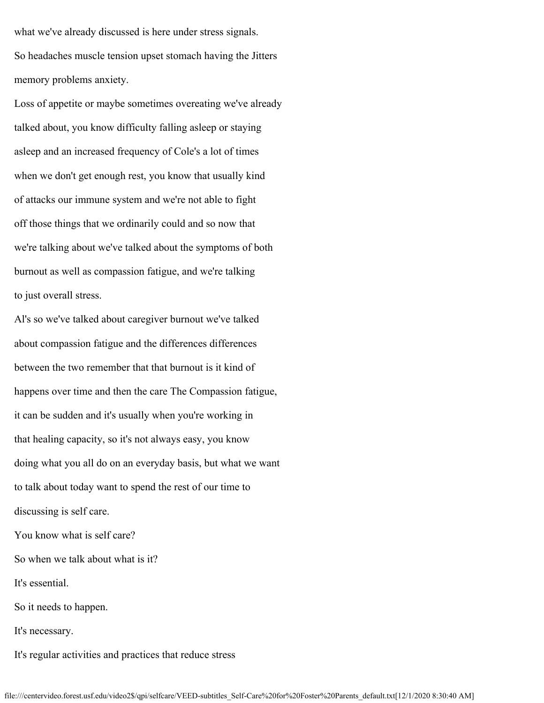what we've already discussed is here under stress signals. So headaches muscle tension upset stomach having the Jitters memory problems anxiety.

Loss of appetite or maybe sometimes overeating we've already talked about, you know difficulty falling asleep or staying asleep and an increased frequency of Cole's a lot of times when we don't get enough rest, you know that usually kind of attacks our immune system and we're not able to fight off those things that we ordinarily could and so now that we're talking about we've talked about the symptoms of both burnout as well as compassion fatigue, and we're talking to just overall stress.

Al's so we've talked about caregiver burnout we've talked about compassion fatigue and the differences differences between the two remember that that burnout is it kind of happens over time and then the care The Compassion fatigue, it can be sudden and it's usually when you're working in that healing capacity, so it's not always easy, you know doing what you all do on an everyday basis, but what we want to talk about today want to spend the rest of our time to discussing is self care. You know what is self care? So when we talk about what is it? It's essential. So it needs to happen.

It's necessary.

It's regular activities and practices that reduce stress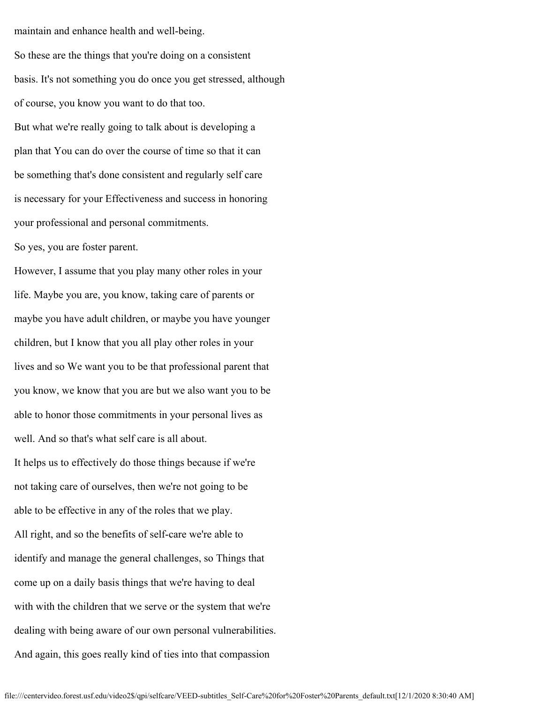maintain and enhance health and well-being.

So these are the things that you're doing on a consistent basis. It's not something you do once you get stressed, although of course, you know you want to do that too. But what we're really going to talk about is developing a plan that You can do over the course of time so that it can be something that's done consistent and regularly self care is necessary for your Effectiveness and success in honoring your professional and personal commitments.

So yes, you are foster parent.

However, I assume that you play many other roles in your life. Maybe you are, you know, taking care of parents or maybe you have adult children, or maybe you have younger children, but I know that you all play other roles in your lives and so We want you to be that professional parent that you know, we know that you are but we also want you to be able to honor those commitments in your personal lives as well. And so that's what self care is all about. It helps us to effectively do those things because if we're not taking care of ourselves, then we're not going to be able to be effective in any of the roles that we play. All right, and so the benefits of self-care we're able to identify and manage the general challenges, so Things that come up on a daily basis things that we're having to deal with with the children that we serve or the system that we're dealing with being aware of our own personal vulnerabilities. And again, this goes really kind of ties into that compassion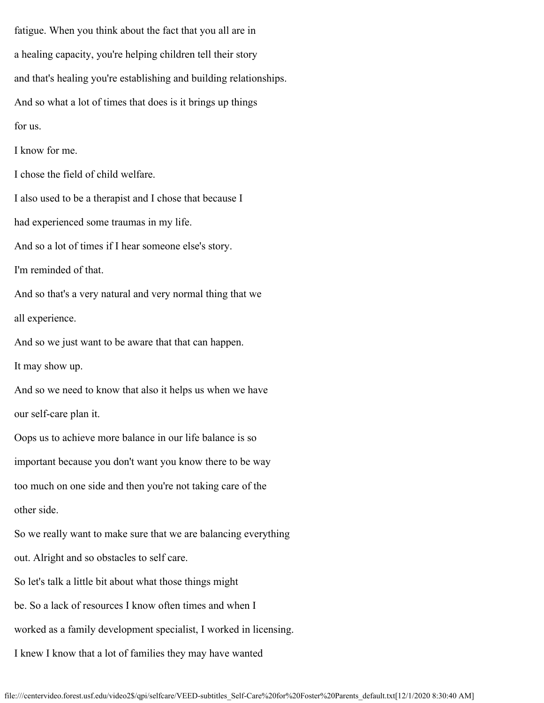fatigue. When you think about the fact that you all are in a healing capacity, you're helping children tell their story and that's healing you're establishing and building relationships. And so what a lot of times that does is it brings up things for us. I know for me. I chose the field of child welfare. I also used to be a therapist and I chose that because I had experienced some traumas in my life. And so a lot of times if I hear someone else's story. I'm reminded of that. And so that's a very natural and very normal thing that we all experience. And so we just want to be aware that that can happen. It may show up. And so we need to know that also it helps us when we have our self-care plan it. Oops us to achieve more balance in our life balance is so important because you don't want you know there to be way too much on one side and then you're not taking care of the other side. So we really want to make sure that we are balancing everything out. Alright and so obstacles to self care. So let's talk a little bit about what those things might be. So a lack of resources I know often times and when I worked as a family development specialist, I worked in licensing.

I knew I know that a lot of families they may have wanted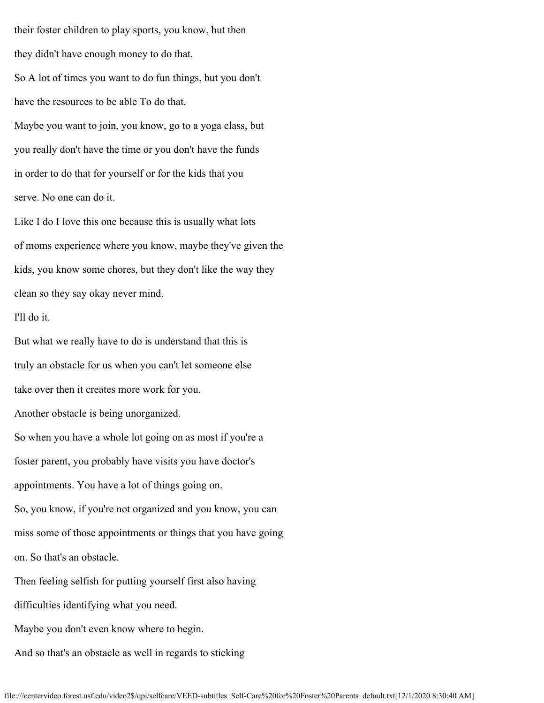their foster children to play sports, you know, but then they didn't have enough money to do that. So A lot of times you want to do fun things, but you don't have the resources to be able To do that. Maybe you want to join, you know, go to a yoga class, but you really don't have the time or you don't have the funds in order to do that for yourself or for the kids that you serve. No one can do it.

Like I do I love this one because this is usually what lots of moms experience where you know, maybe they've given the kids, you know some chores, but they don't like the way they clean so they say okay never mind.

# I'll do it.

But what we really have to do is understand that this is truly an obstacle for us when you can't let someone else take over then it creates more work for you. Another obstacle is being unorganized. So when you have a whole lot going on as most if you're a foster parent, you probably have visits you have doctor's appointments. You have a lot of things going on. So, you know, if you're not organized and you know, you can miss some of those appointments or things that you have going on. So that's an obstacle. Then feeling selfish for putting yourself first also having

difficulties identifying what you need.

Maybe you don't even know where to begin.

And so that's an obstacle as well in regards to sticking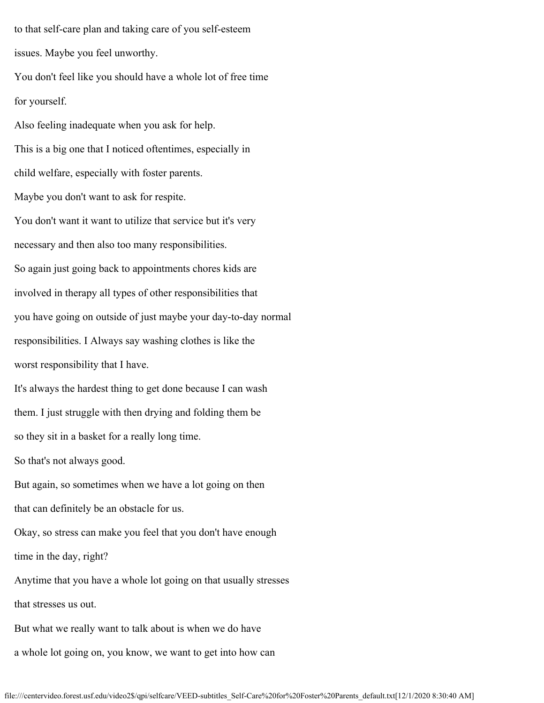to that self-care plan and taking care of you self-esteem issues. Maybe you feel unworthy.

You don't feel like you should have a whole lot of free time for yourself.

Also feeling inadequate when you ask for help. This is a big one that I noticed oftentimes, especially in child welfare, especially with foster parents. Maybe you don't want to ask for respite. You don't want it want to utilize that service but it's very necessary and then also too many responsibilities. So again just going back to appointments chores kids are involved in therapy all types of other responsibilities that you have going on outside of just maybe your day-to-day normal responsibilities. I Always say washing clothes is like the worst responsibility that I have. It's always the hardest thing to get done because I can wash them. I just struggle with then drying and folding them be so they sit in a basket for a really long time. So that's not always good. But again, so sometimes when we have a lot going on then that can definitely be an obstacle for us. Okay, so stress can make you feel that you don't have enough time in the day, right? Anytime that you have a whole lot going on that usually stresses that stresses us out. But what we really want to talk about is when we do have a whole lot going on, you know, we want to get into how can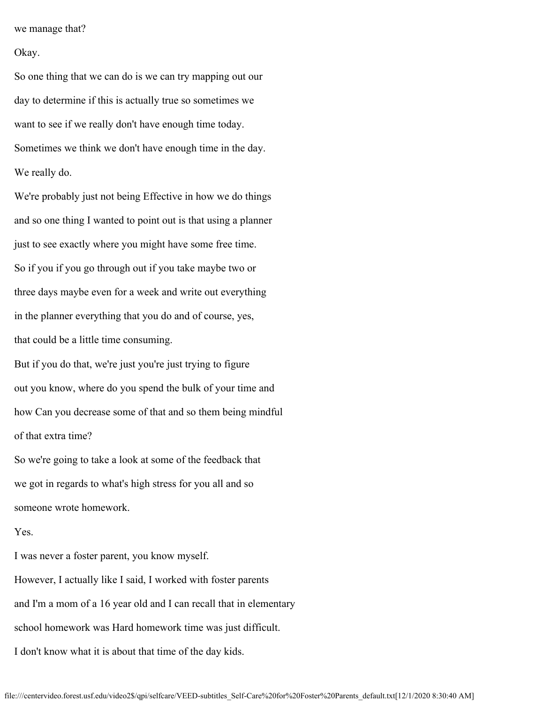we manage that?

### Okay.

So one thing that we can do is we can try mapping out our day to determine if this is actually true so sometimes we want to see if we really don't have enough time today. Sometimes we think we don't have enough time in the day. We really do.

We're probably just not being Effective in how we do things and so one thing I wanted to point out is that using a planner just to see exactly where you might have some free time. So if you if you go through out if you take maybe two or three days maybe even for a week and write out everything in the planner everything that you do and of course, yes, that could be a little time consuming.

But if you do that, we're just you're just trying to figure out you know, where do you spend the bulk of your time and how Can you decrease some of that and so them being mindful of that extra time?

So we're going to take a look at some of the feedback that we got in regards to what's high stress for you all and so someone wrote homework.

## Yes.

I was never a foster parent, you know myself. However, I actually like I said, I worked with foster parents and I'm a mom of a 16 year old and I can recall that in elementary school homework was Hard homework time was just difficult. I don't know what it is about that time of the day kids.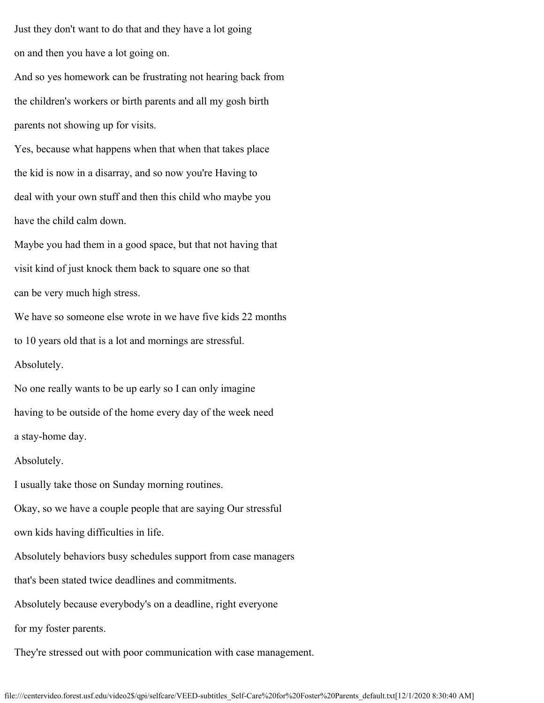Just they don't want to do that and they have a lot going on and then you have a lot going on.

And so yes homework can be frustrating not hearing back from the children's workers or birth parents and all my gosh birth parents not showing up for visits.

Yes, because what happens when that when that takes place the kid is now in a disarray, and so now you're Having to deal with your own stuff and then this child who maybe you have the child calm down.

Maybe you had them in a good space, but that not having that visit kind of just knock them back to square one so that can be very much high stress.

We have so someone else wrote in we have five kids 22 months to 10 years old that is a lot and mornings are stressful. Absolutely.

No one really wants to be up early so I can only imagine having to be outside of the home every day of the week need a stay-home day.

### Absolutely.

I usually take those on Sunday morning routines.

Okay, so we have a couple people that are saying Our stressful

own kids having difficulties in life.

Absolutely behaviors busy schedules support from case managers

that's been stated twice deadlines and commitments.

Absolutely because everybody's on a deadline, right everyone

for my foster parents.

They're stressed out with poor communication with case management.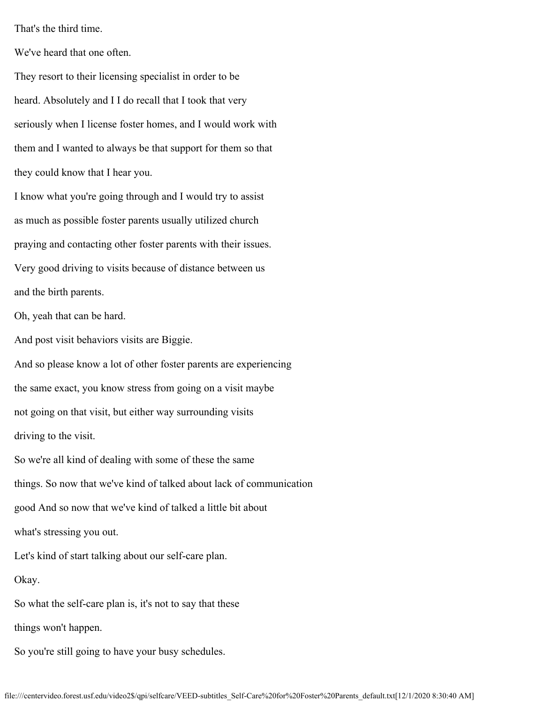That's the third time.

We've heard that one often.

They resort to their licensing specialist in order to be heard. Absolutely and I I do recall that I took that very seriously when I license foster homes, and I would work with them and I wanted to always be that support for them so that they could know that I hear you.

I know what you're going through and I would try to assist as much as possible foster parents usually utilized church praying and contacting other foster parents with their issues. Very good driving to visits because of distance between us and the birth parents.

Oh, yeah that can be hard.

And post visit behaviors visits are Biggie.

And so please know a lot of other foster parents are experiencing the same exact, you know stress from going on a visit maybe not going on that visit, but either way surrounding visits driving to the visit.

So we're all kind of dealing with some of these the same things. So now that we've kind of talked about lack of communication good And so now that we've kind of talked a little bit about what's stressing you out. Let's kind of start talking about our self-care plan. Okay. So what the self-care plan is, it's not to say that these

So you're still going to have your busy schedules.

things won't happen.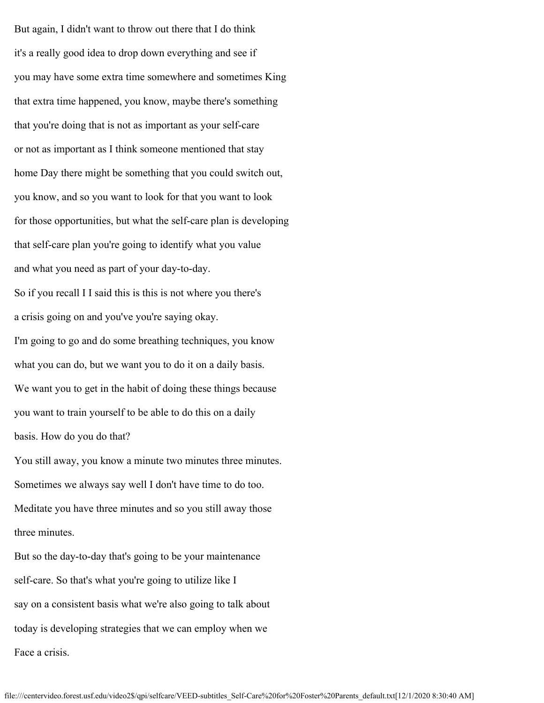But again, I didn't want to throw out there that I do think it's a really good idea to drop down everything and see if you may have some extra time somewhere and sometimes King that extra time happened, you know, maybe there's something that you're doing that is not as important as your self-care or not as important as I think someone mentioned that stay home Day there might be something that you could switch out, you know, and so you want to look for that you want to look for those opportunities, but what the self-care plan is developing that self-care plan you're going to identify what you value and what you need as part of your day-to-day. So if you recall I I said this is this is not where you there's a crisis going on and you've you're saying okay. I'm going to go and do some breathing techniques, you know what you can do, but we want you to do it on a daily basis. We want you to get in the habit of doing these things because you want to train yourself to be able to do this on a daily basis. How do you do that? You still away, you know a minute two minutes three minutes. Sometimes we always say well I don't have time to do too.

Meditate you have three minutes and so you still away those three minutes.

But so the day-to-day that's going to be your maintenance self-care. So that's what you're going to utilize like I say on a consistent basis what we're also going to talk about today is developing strategies that we can employ when we Face a crisis.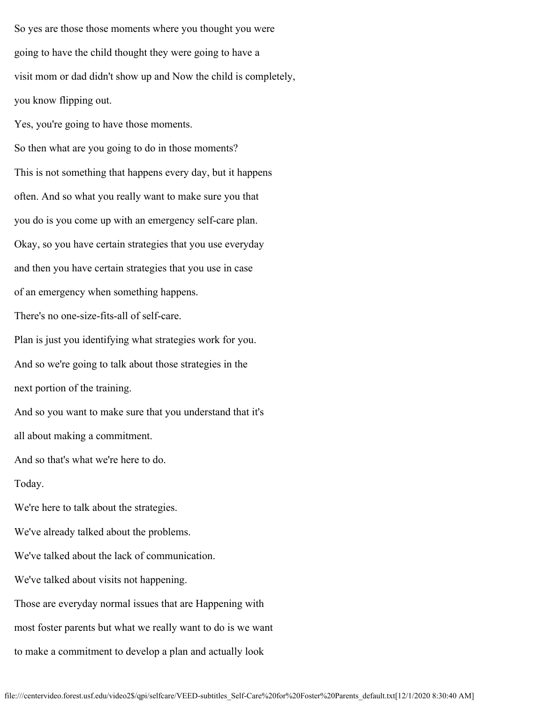So yes are those those moments where you thought you were going to have the child thought they were going to have a visit mom or dad didn't show up and Now the child is completely, you know flipping out.

Yes, you're going to have those moments. So then what are you going to do in those moments? This is not something that happens every day, but it happens often. And so what you really want to make sure you that you do is you come up with an emergency self-care plan. Okay, so you have certain strategies that you use everyday and then you have certain strategies that you use in case of an emergency when something happens. There's no one-size-fits-all of self-care. Plan is just you identifying what strategies work for you. And so we're going to talk about those strategies in the next portion of the training. And so you want to make sure that you understand that it's all about making a commitment. And so that's what we're here to do.

Today.

We're here to talk about the strategies.

We've already talked about the problems.

We've talked about the lack of communication.

We've talked about visits not happening.

Those are everyday normal issues that are Happening with

most foster parents but what we really want to do is we want

to make a commitment to develop a plan and actually look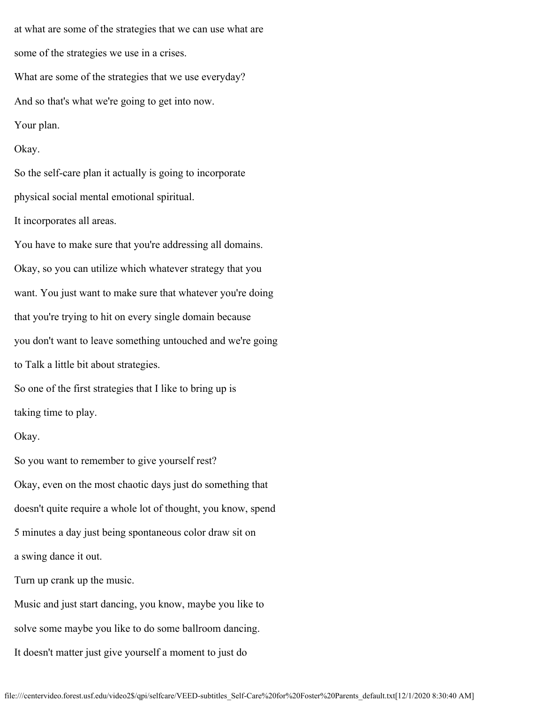at what are some of the strategies that we can use what are some of the strategies we use in a crises. What are some of the strategies that we use everyday? And so that's what we're going to get into now. Your plan. Okay. So the self-care plan it actually is going to incorporate physical social mental emotional spiritual.

It incorporates all areas.

You have to make sure that you're addressing all domains. Okay, so you can utilize which whatever strategy that you want. You just want to make sure that whatever you're doing that you're trying to hit on every single domain because you don't want to leave something untouched and we're going to Talk a little bit about strategies. So one of the first strategies that I like to bring up is

taking time to play.

### Okay.

So you want to remember to give yourself rest? Okay, even on the most chaotic days just do something that doesn't quite require a whole lot of thought, you know, spend 5 minutes a day just being spontaneous color draw sit on a swing dance it out.

Turn up crank up the music.

Music and just start dancing, you know, maybe you like to solve some maybe you like to do some ballroom dancing. It doesn't matter just give yourself a moment to just do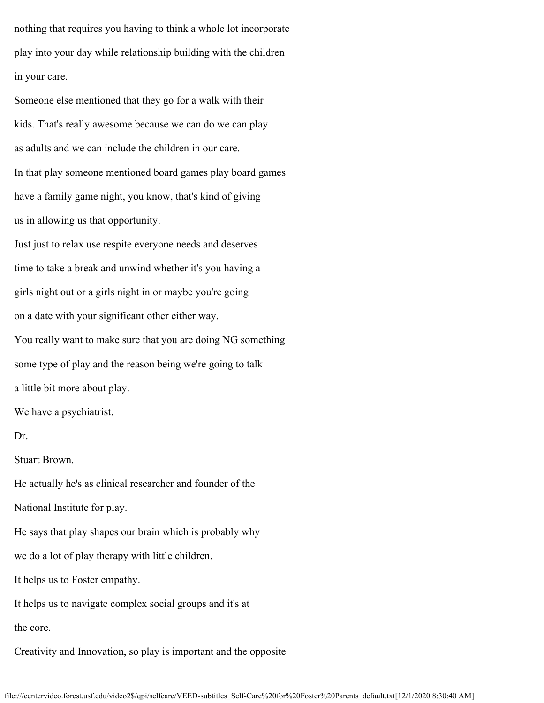nothing that requires you having to think a whole lot incorporate play into your day while relationship building with the children in your care.

Someone else mentioned that they go for a walk with their kids. That's really awesome because we can do we can play as adults and we can include the children in our care. In that play someone mentioned board games play board games have a family game night, you know, that's kind of giving us in allowing us that opportunity.

Just just to relax use respite everyone needs and deserves time to take a break and unwind whether it's you having a girls night out or a girls night in or maybe you're going on a date with your significant other either way. You really want to make sure that you are doing NG something some type of play and the reason being we're going to talk a little bit more about play.

We have a psychiatrist.

Dr.

Stuart Brown.

He actually he's as clinical researcher and founder of the

National Institute for play.

He says that play shapes our brain which is probably why

we do a lot of play therapy with little children.

It helps us to Foster empathy.

It helps us to navigate complex social groups and it's at

the core.

Creativity and Innovation, so play is important and the opposite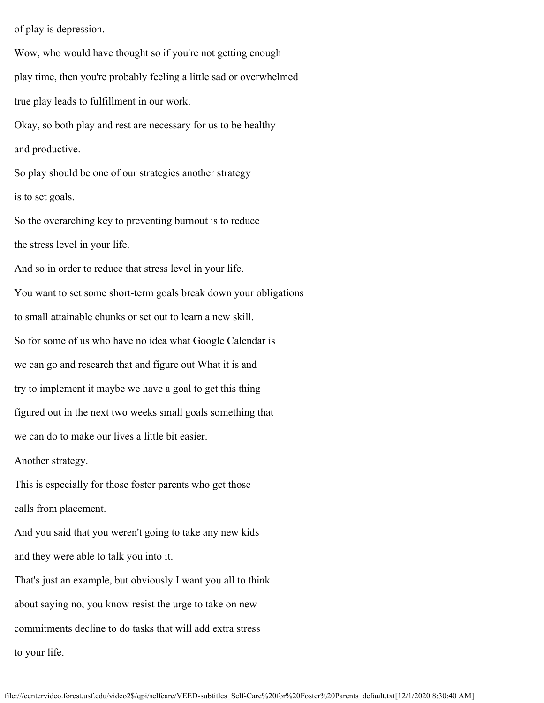of play is depression.

Wow, who would have thought so if you're not getting enough play time, then you're probably feeling a little sad or overwhelmed true play leads to fulfillment in our work. Okay, so both play and rest are necessary for us to be healthy and productive. So play should be one of our strategies another strategy is to set goals. So the overarching key to preventing burnout is to reduce the stress level in your life. And so in order to reduce that stress level in your life. You want to set some short-term goals break down your obligations to small attainable chunks or set out to learn a new skill. So for some of us who have no idea what Google Calendar is we can go and research that and figure out What it is and try to implement it maybe we have a goal to get this thing figured out in the next two weeks small goals something that we can do to make our lives a little bit easier. Another strategy. This is especially for those foster parents who get those calls from placement. And you said that you weren't going to take any new kids and they were able to talk you into it. That's just an example, but obviously I want you all to think about saying no, you know resist the urge to take on new commitments decline to do tasks that will add extra stress to your life.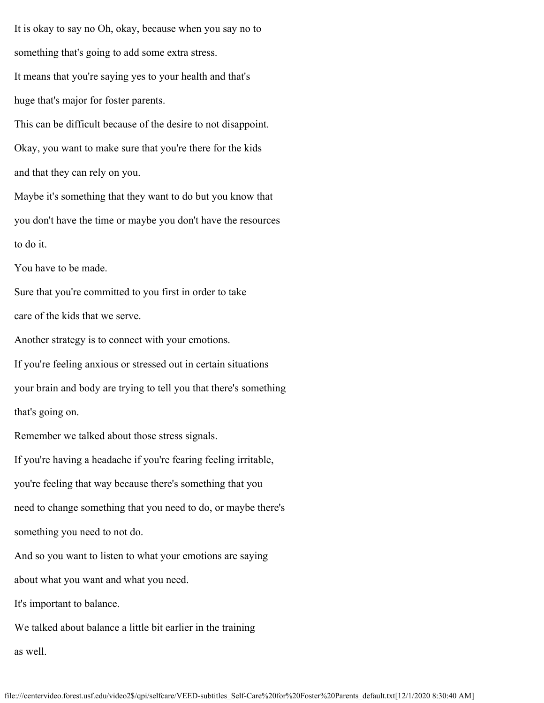It is okay to say no Oh, okay, because when you say no to something that's going to add some extra stress. It means that you're saying yes to your health and that's huge that's major for foster parents.

This can be difficult because of the desire to not disappoint. Okay, you want to make sure that you're there for the kids and that they can rely on you.

Maybe it's something that they want to do but you know that you don't have the time or maybe you don't have the resources to do it.

You have to be made.

Sure that you're committed to you first in order to take care of the kids that we serve.

Another strategy is to connect with your emotions.

If you're feeling anxious or stressed out in certain situations your brain and body are trying to tell you that there's something that's going on.

Remember we talked about those stress signals.

If you're having a headache if you're fearing feeling irritable, you're feeling that way because there's something that you need to change something that you need to do, or maybe there's something you need to not do.

And so you want to listen to what your emotions are saying about what you want and what you need.

It's important to balance.

We talked about balance a little bit earlier in the training as well.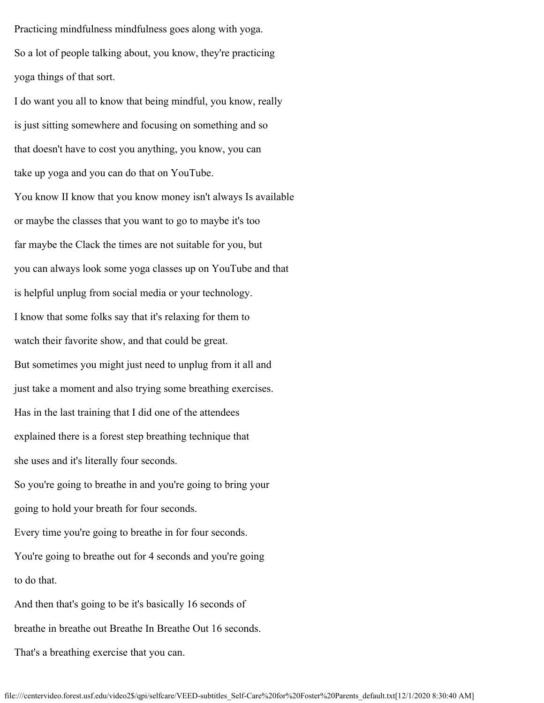Practicing mindfulness mindfulness goes along with yoga. So a lot of people talking about, you know, they're practicing yoga things of that sort.

I do want you all to know that being mindful, you know, really is just sitting somewhere and focusing on something and so that doesn't have to cost you anything, you know, you can take up yoga and you can do that on YouTube. You know II know that you know money isn't always Is available or maybe the classes that you want to go to maybe it's too far maybe the Clack the times are not suitable for you, but you can always look some yoga classes up on YouTube and that is helpful unplug from social media or your technology. I know that some folks say that it's relaxing for them to watch their favorite show, and that could be great. But sometimes you might just need to unplug from it all and just take a moment and also trying some breathing exercises. Has in the last training that I did one of the attendees explained there is a forest step breathing technique that she uses and it's literally four seconds. So you're going to breathe in and you're going to bring your going to hold your breath for four seconds. Every time you're going to breathe in for four seconds. You're going to breathe out for 4 seconds and you're going to do that. And then that's going to be it's basically 16 seconds of breathe in breathe out Breathe In Breathe Out 16 seconds.

That's a breathing exercise that you can.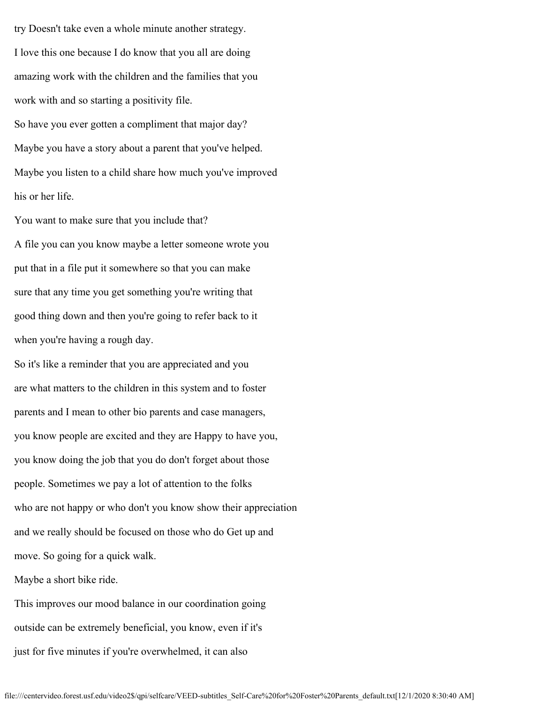try Doesn't take even a whole minute another strategy. I love this one because I do know that you all are doing amazing work with the children and the families that you work with and so starting a positivity file. So have you ever gotten a compliment that major day? Maybe you have a story about a parent that you've helped. Maybe you listen to a child share how much you've improved his or her life.

You want to make sure that you include that? A file you can you know maybe a letter someone wrote you put that in a file put it somewhere so that you can make sure that any time you get something you're writing that good thing down and then you're going to refer back to it when you're having a rough day.

So it's like a reminder that you are appreciated and you are what matters to the children in this system and to foster parents and I mean to other bio parents and case managers, you know people are excited and they are Happy to have you, you know doing the job that you do don't forget about those people. Sometimes we pay a lot of attention to the folks who are not happy or who don't you know show their appreciation and we really should be focused on those who do Get up and move. So going for a quick walk.

Maybe a short bike ride.

This improves our mood balance in our coordination going outside can be extremely beneficial, you know, even if it's just for five minutes if you're overwhelmed, it can also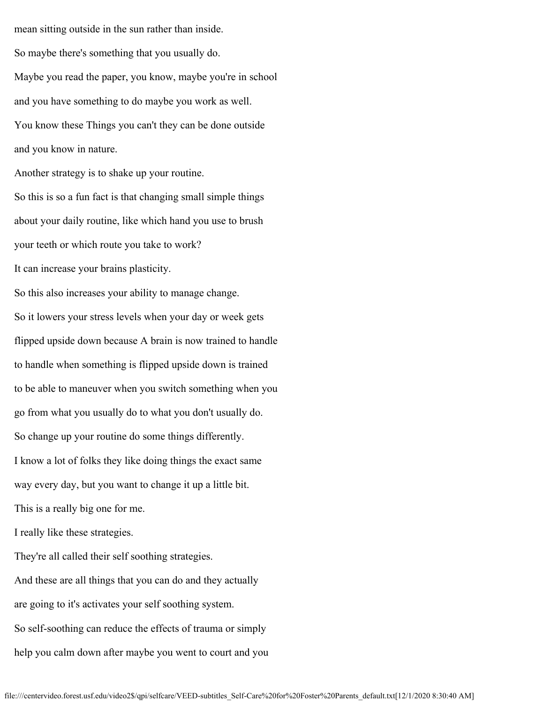mean sitting outside in the sun rather than inside. So maybe there's something that you usually do. Maybe you read the paper, you know, maybe you're in school and you have something to do maybe you work as well. You know these Things you can't they can be done outside and you know in nature.

Another strategy is to shake up your routine. So this is so a fun fact is that changing small simple things about your daily routine, like which hand you use to brush your teeth or which route you take to work? It can increase your brains plasticity. So this also increases your ability to manage change. So it lowers your stress levels when your day or week gets flipped upside down because A brain is now trained to handle to handle when something is flipped upside down is trained to be able to maneuver when you switch something when you go from what you usually do to what you don't usually do. So change up your routine do some things differently. I know a lot of folks they like doing things the exact same way every day, but you want to change it up a little bit. This is a really big one for me.

I really like these strategies.

They're all called their self soothing strategies. And these are all things that you can do and they actually are going to it's activates your self soothing system. So self-soothing can reduce the effects of trauma or simply help you calm down after maybe you went to court and you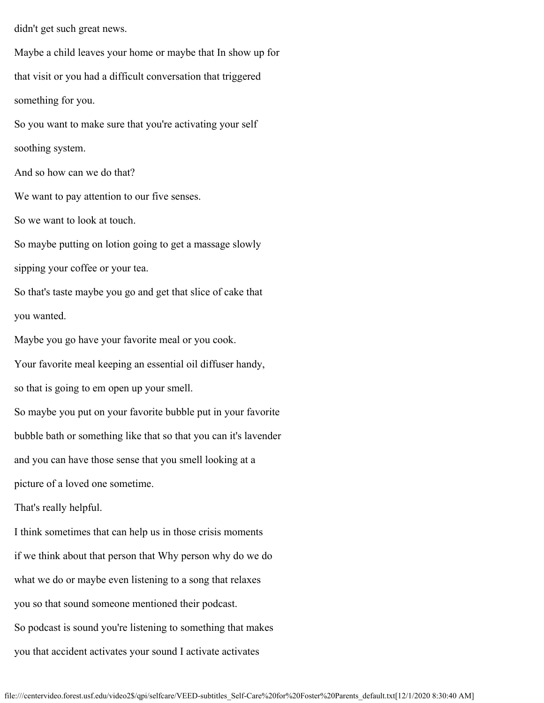didn't get such great news.

Maybe a child leaves your home or maybe that In show up for that visit or you had a difficult conversation that triggered something for you. So you want to make sure that you're activating your self soothing system. And so how can we do that? We want to pay attention to our five senses. So we want to look at touch. So maybe putting on lotion going to get a massage slowly sipping your coffee or your tea. So that's taste maybe you go and get that slice of cake that you wanted. Maybe you go have your favorite meal or you cook. Your favorite meal keeping an essential oil diffuser handy, so that is going to em open up your smell. So maybe you put on your favorite bubble put in your favorite bubble bath or something like that so that you can it's lavender and you can have those sense that you smell looking at a picture of a loved one sometime. That's really helpful. I think sometimes that can help us in those crisis moments if we think about that person that Why person why do we do what we do or maybe even listening to a song that relaxes you so that sound someone mentioned their podcast.

So podcast is sound you're listening to something that makes you that accident activates your sound I activate activates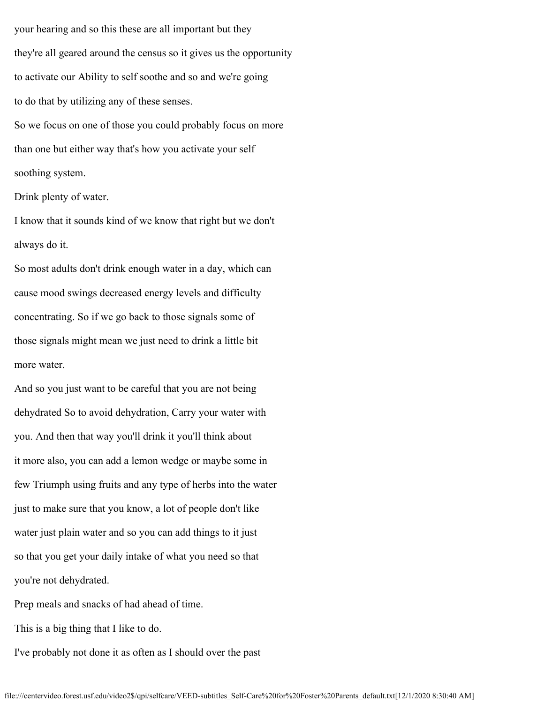your hearing and so this these are all important but they they're all geared around the census so it gives us the opportunity to activate our Ability to self soothe and so and we're going to do that by utilizing any of these senses. So we focus on one of those you could probably focus on more than one but either way that's how you activate your self

soothing system.

Drink plenty of water.

I know that it sounds kind of we know that right but we don't always do it.

So most adults don't drink enough water in a day, which can cause mood swings decreased energy levels and difficulty concentrating. So if we go back to those signals some of those signals might mean we just need to drink a little bit more water.

And so you just want to be careful that you are not being dehydrated So to avoid dehydration, Carry your water with you. And then that way you'll drink it you'll think about it more also, you can add a lemon wedge or maybe some in few Triumph using fruits and any type of herbs into the water just to make sure that you know, a lot of people don't like water just plain water and so you can add things to it just so that you get your daily intake of what you need so that you're not dehydrated.

Prep meals and snacks of had ahead of time.

This is a big thing that I like to do.

I've probably not done it as often as I should over the past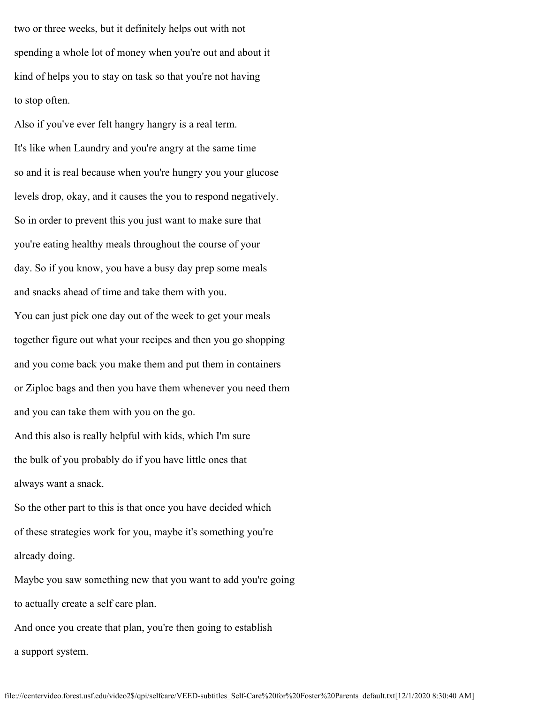two or three weeks, but it definitely helps out with not spending a whole lot of money when you're out and about it kind of helps you to stay on task so that you're not having to stop often.

Also if you've ever felt hangry hangry is a real term. It's like when Laundry and you're angry at the same time so and it is real because when you're hungry you your glucose levels drop, okay, and it causes the you to respond negatively. So in order to prevent this you just want to make sure that you're eating healthy meals throughout the course of your day. So if you know, you have a busy day prep some meals and snacks ahead of time and take them with you. You can just pick one day out of the week to get your meals together figure out what your recipes and then you go shopping and you come back you make them and put them in containers or Ziploc bags and then you have them whenever you need them and you can take them with you on the go. And this also is really helpful with kids, which I'm sure

the bulk of you probably do if you have little ones that always want a snack.

So the other part to this is that once you have decided which of these strategies work for you, maybe it's something you're already doing.

Maybe you saw something new that you want to add you're going to actually create a self care plan.

And once you create that plan, you're then going to establish a support system.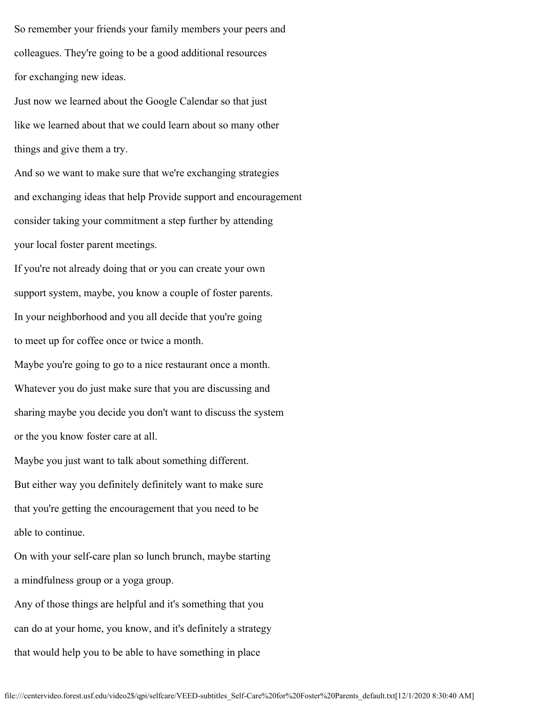So remember your friends your family members your peers and colleagues. They're going to be a good additional resources for exchanging new ideas.

Just now we learned about the Google Calendar so that just like we learned about that we could learn about so many other things and give them a try.

And so we want to make sure that we're exchanging strategies and exchanging ideas that help Provide support and encouragement consider taking your commitment a step further by attending your local foster parent meetings.

If you're not already doing that or you can create your own support system, maybe, you know a couple of foster parents. In your neighborhood and you all decide that you're going to meet up for coffee once or twice a month. Maybe you're going to go to a nice restaurant once a month. Whatever you do just make sure that you are discussing and sharing maybe you decide you don't want to discuss the system or the you know foster care at all.

Maybe you just want to talk about something different. But either way you definitely definitely want to make sure that you're getting the encouragement that you need to be able to continue.

On with your self-care plan so lunch brunch, maybe starting a mindfulness group or a yoga group.

Any of those things are helpful and it's something that you can do at your home, you know, and it's definitely a strategy that would help you to be able to have something in place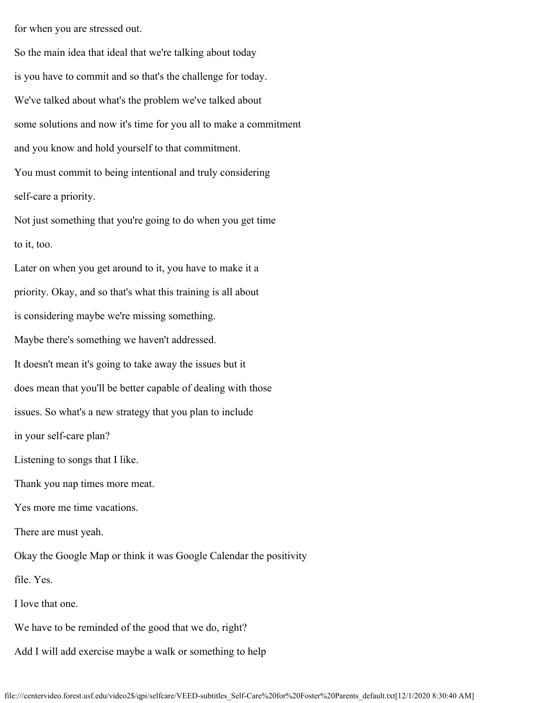for when you are stressed out.

So the main idea that ideal that we're talking about today is you have to commit and so that's the challenge for today. We've talked about what's the problem we've talked about some solutions and now it's time for you all to make a commitment and you know and hold yourself to that commitment. You must commit to being intentional and truly considering self-care a priority.

Not just something that you're going to do when you get time to it, too.

Later on when you get around to it, you have to make it a priority. Okay, and so that's what this training is all about is considering maybe we're missing something. Maybe there's something we haven't addressed. It doesn't mean it's going to take away the issues but it does mean that you'll be better capable of dealing with those issues. So what's a new strategy that you plan to include in your self-care plan? Listening to songs that I like. Thank you nap times more meat. Yes more me time vacations. There are must yeah. Okay the Google Map or think it was Google Calendar the positivity file. Yes. I love that one. We have to be reminded of the good that we do, right? Add I will add exercise maybe a walk or something to help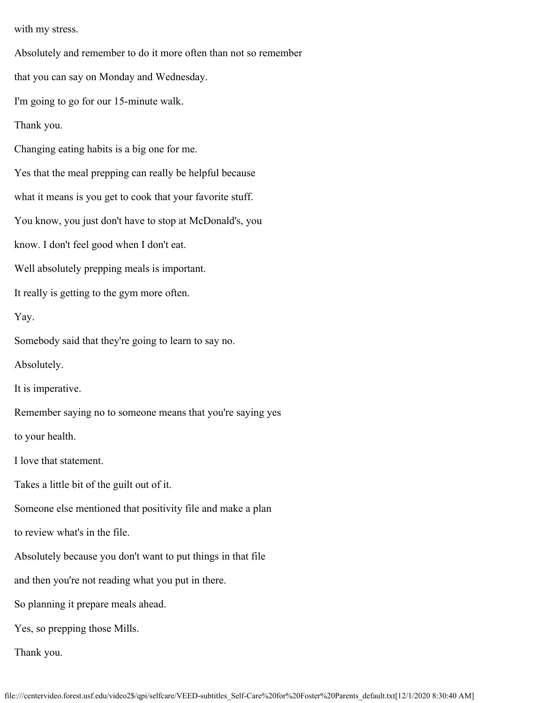with my stress.

Absolutely and remember to do it more often than not so remember that you can say on Monday and Wednesday. I'm going to go for our 15-minute walk. Thank you. Changing eating habits is a big one for me. Yes that the meal prepping can really be helpful because what it means is you get to cook that your favorite stuff. You know, you just don't have to stop at McDonald's, you know. I don't feel good when I don't eat. Well absolutely prepping meals is important. It really is getting to the gym more often. Yay. Somebody said that they're going to learn to say no. Absolutely. It is imperative. Remember saying no to someone means that you're saying yes to your health. I love that statement. Takes a little bit of the guilt out of it. Someone else mentioned that positivity file and make a plan to review what's in the file. Absolutely because you don't want to put things in that file and then you're not reading what you put in there. So planning it prepare meals ahead. Yes, so prepping those Mills. Thank you.